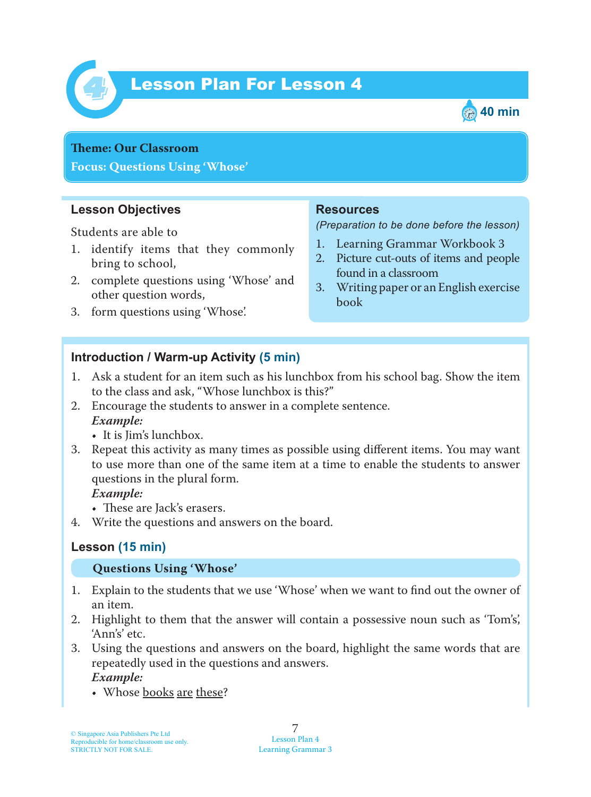

# *4* Lesson Plan For Lesson 4



#### **Teme : Our Classroom**

**Focus: Questions Using 'Whose'**

#### **Lesson Objectives**

Students are able to

- 1. identify items that they commonly bring to school,
- 2. complete questions using 'Whose' and other question words,
- 3. form questions using 'Whose'.

#### **Resources**

*(Preparation to be done before the lesson)*

- 1. Learning Grammar Workbook 3
- 2. Picture cut-outs of items and people found in a classroom
- 3. Writing paper or an English exercise book

#### **Introduction / Warm-up Activity (5 min)**

- 1. Ask a student for an item such as his lunchbox from his school bag. Show the item to the class and ask, "Whose lunchbox is this?"
- 2. Encourage the students to answer in a complete sentence.  *Example:*
	- It is Jim's lunchbox.
- 3. Repeat this activity as many times as possible using different items. You may want to use more than one of the same item at a time to enable the students to answer questions in the plural form.

 *Example:*

- These are Jack's erasers.
- 4. Write the questions and answers on the board.

## **Lesson (15 min)**

#### **Questions Using 'Whose'**

- 1. Explain to the students that we use 'Whose' when we want to find out the owner of an item.
- 2. Highlight to them that the answer will contain a possessive noun such as 'Tom's', 'Ann's' etc.
- 3. Using the questions and answers on the board, highlight the same words that are repeatedly used in the questions and answers.  *Example:*
	- Whose books are these?